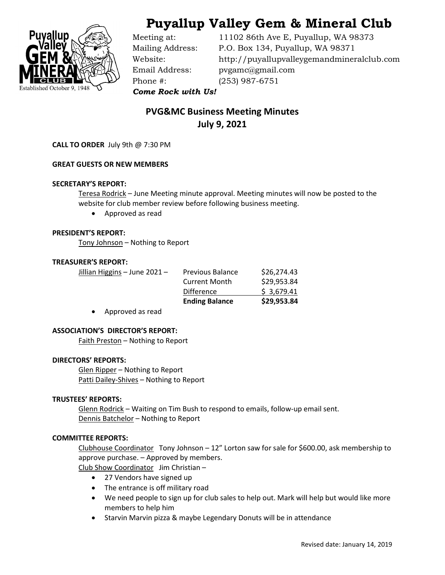

# Puyallup Valley Gem & Mineral Club

Phone #: (253) 987-6751

Meeting at: 11102 86th Ave E, Puyallup, WA 98373 Mailing Address: P.O. Box 134, Puyallup, WA 98371 Website: http://puyallupvalleygemandmineralclub.com Email Address: pvgamc@gmail.com

Come Rock with Us!

# PVG&MC Business Meeting Minutes July 9, 2021

CALL TO ORDER July 9th @ 7:30 PM

### GREAT GUESTS OR NEW MEMBERS

#### SECRETARY'S REPORT:

Teresa Rodrick – June Meeting minute approval. Meeting minutes will now be posted to the website for club member review before following business meeting.

Approved as read

#### PRESIDENT'S REPORT:

Tony Johnson – Nothing to Report

#### TREASURER'S REPORT:

Jillian Higgins – June 2021 – Previous Balance \$26,274.43 Current Month \$29,953.84 Difference \$ 3,679.41 Ending Balance \$29,953.84

Approved as read

#### ASSOCIATION'S DIRECTOR'S REPORT:

Faith Preston – Nothing to Report

#### DIRECTORS' REPORTS:

 Glen Ripper – Nothing to Report Patti Dailey-Shives - Nothing to Report

#### TRUSTEES' REPORTS:

Glenn Rodrick - Waiting on Tim Bush to respond to emails, follow-up email sent. Dennis Batchelor - Nothing to Report

#### COMMITTEE REPORTS:

Clubhouse Coordinator Tony Johnson – 12" Lorton saw for sale for \$600.00, ask membership to approve purchase. – Approved by members.

Club Show Coordinator Jim Christian –

- 27 Vendors have signed up
- The entrance is off military road
- We need people to sign up for club sales to help out. Mark will help but would like more members to help him
- Starvin Marvin pizza & maybe Legendary Donuts will be in attendance